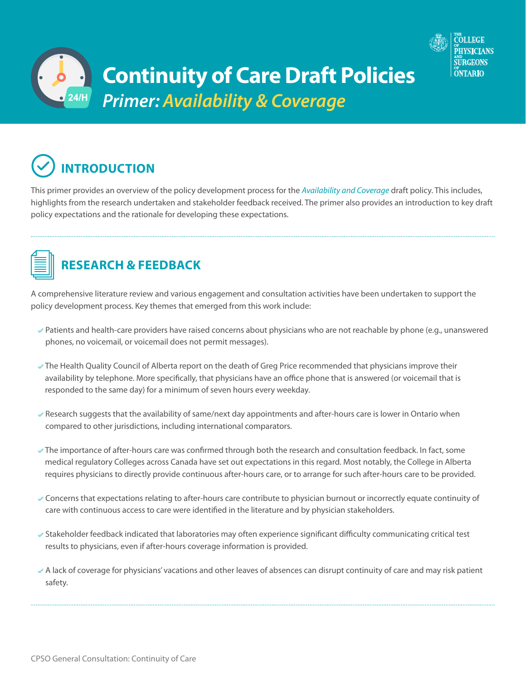



This primer provides an overview of the policy development process for the *[Availability and Coverage](http://policyconsult.cpso.on.ca/wp-content/uploads/2018/06/Availability-and-Coverage_Draft-for-Consultation.pdf)* draft policy. This includes, highlights from the research undertaken and stakeholder feedback received. The primer also provides an introduction to key draft policy expectations and the rationale for developing these expectations.



## **RESEARCH & FEEDBACK**

A comprehensive literature review and various engagement and consultation activities have been undertaken to support the policy development process. Key themes that emerged from this work include:

- Patients and health-care providers have raised concerns about physicians who are not reachable by phone (e.g., unanswered phones, no voicemail, or voicemail does not permit messages).
- The Health Quality Council of Alberta report on the death of Greg Price recommended that physicians improve their availability by telephone. More specifically, that physicians have an office phone that is answered (or voicemail that is responded to the same day) for a minimum of seven hours every weekday.
- Research suggests that the availability of same/next day appointments and after-hours care is lower in Ontario when compared to other jurisdictions, including international comparators.
- The importance of after-hours care was confirmed through both the research and consultation feedback. In fact, some medical regulatory Colleges across Canada have set out expectations in this regard. Most notably, the College in Alberta requires physicians to directly provide continuous after-hours care, or to arrange for such after-hours care to be provided.
- Concerns that expectations relating to after-hours care contribute to physician burnout or incorrectly equate continuity of care with continuous access to care were identified in the literature and by physician stakeholders.
- Stakeholder feedback indicated that laboratories may often experience significant difficulty communicating critical test results to physicians, even if after-hours coverage information is provided.
- A lack of coverage for physicians' vacations and other leaves of absences can disrupt continuity of care and may risk patient safety.